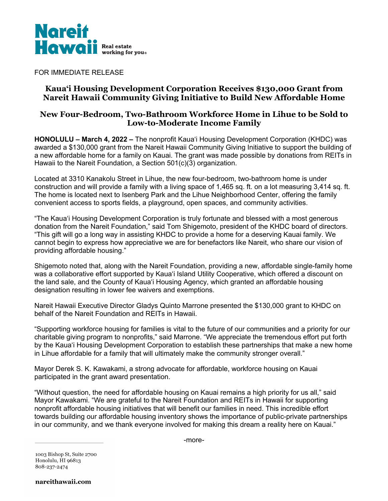

FOR IMMEDIATE RELEASE

# **Kaua'i Housing Development Corporation Receives \$130,000 Grant from Nareit Hawaii Community Giving Initiative to Build New Affordable Home**

# **New Four-Bedroom, Two-Bathroom Workforce Home in Lihue to be Sold to Low-to-Moderate Income Family**

**HONOLULU – March 4, 2022 –** The nonprofit Kaua'i Housing Development Corporation (KHDC) was awarded a \$130,000 grant from the Nareit Hawaii Community Giving Initiative to support the building of a new affordable home for a family on Kauai. The grant was made possible by donations from REITs in Hawaii to the Nareit Foundation, a Section 501(c)(3) organization.

Located at 3310 Kanakolu Street in Lihue, the new four-bedroom, two-bathroom home is under construction and will provide a family with a living space of 1,465 sq. ft. on a lot measuring 3,414 sq. ft. The home is located next to Isenberg Park and the Lihue Neighborhood Center, offering the family convenient access to sports fields, a playground, open spaces, and community activities.

"The Kaua'i Housing Development Corporation is truly fortunate and blessed with a most generous donation from the Nareit Foundation," said Tom Shigemoto, president of the KHDC board of directors. "This gift will go a long way in assisting KHDC to provide a home for a deserving Kauai family. We cannot begin to express how appreciative we are for benefactors like Nareit, who share our vision of providing affordable housing."

Shigemoto noted that, along with the Nareit Foundation, providing a new, affordable single-family home was a collaborative effort supported by Kaua'i Island Utility Cooperative, which offered a discount on the land sale, and the County of Kaua'i Housing Agency, which granted an affordable housing designation resulting in lower fee waivers and exemptions.

Nareit Hawaii Executive Director Gladys Quinto Marrone presented the \$130,000 grant to KHDC on behalf of the Nareit Foundation and REITs in Hawaii.

"Supporting workforce housing for families is vital to the future of our communities and a priority for our charitable giving program to nonprofits," said Marrone. "We appreciate the tremendous effort put forth by the Kaua'i Housing Development Corporation to establish these partnerships that make a new home in Lihue affordable for a family that will ultimately make the community stronger overall."

Mayor Derek S. K. Kawakami, a strong advocate for affordable, workforce housing on Kauai participated in the grant award presentation.

"Without question, the need for affordable housing on Kauai remains a high priority for us all," said Mayor Kawakami. "We are grateful to the Nareit Foundation and REITs in Hawaii for supporting nonprofit affordable housing initiatives that will benefit our families in need. This incredible effort towards building our affordable housing inventory shows the importance of public-private partnerships in our community, and we thank everyone involved for making this dream a reality here on Kauai."

-more-

1003 Bishop St, Suite 2700 Honolulu, HI 96813 808-237-2474